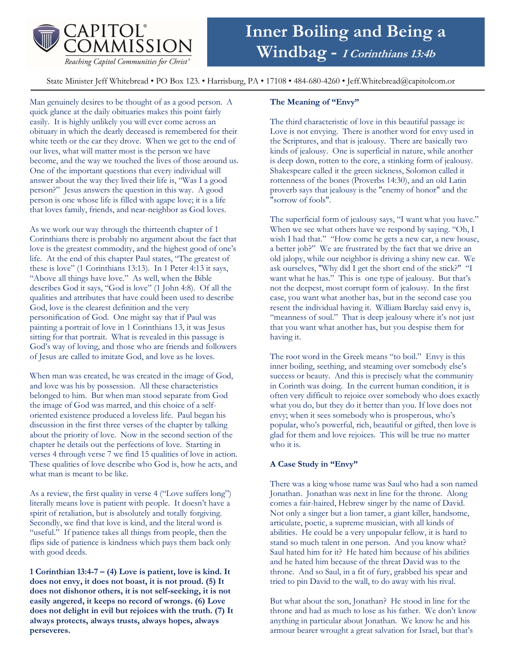

# Inner Boiling and Being a Windbag - I Corinthians 13:4b

State Minister Jeff Whitebread • PO Box 123. • Harrisburg, PA • 17108 • 484-680-4260 • Jeff.Whitebread@capitolcom.or

Man genuinely desires to be thought of as a good person. A quick glance at the daily obituaries makes this point fairly easily. It is highly unlikely you will ever come across an obituary in which the dearly deceased is remembered for their white teeth or the car they drove. When we get to the end of our lives, what will matter most is the person we have become, and the way we touched the lives of those around us. One of the important questions that every individual will answer about the way they lived their life is, "Was I a good person?" Jesus answers the question in this way. A good person is one whose life is filled with agape love; it is a life that loves family, friends, and near-neighbor as God loves.

As we work our way through the thirteenth chapter of 1 Corinthians there is probably no argument about the fact that love is the greatest commodity, and the highest good of one's life. At the end of this chapter Paul states, "The greatest of these is love" (1 Corinthians 13:13). In 1 Peter 4:13 it says, "Above all things have love." As well, when the Bible describes God it says, "God is love" (1 John 4:8). Of all the qualities and attributes that have could been used to describe God, love is the clearest definition and the very personification of God. One might say that if Paul was painting a portrait of love in 1 Corinthians 13, it was Jesus sitting for that portrait. What is revealed in this passage is God's way of loving, and those who are friends and followers of Jesus are called to imitate God, and love as he loves.

When man was created, he was created in the image of God, and love was his by possession. All these characteristics belonged to him. But when man stood separate from God the image of God was marred, and this choice of a selforiented existence produced a loveless life. Paul began his discussion in the first three verses of the chapter by talking about the priority of love. Now in the second section of the chapter he details out the perfections of love. Starting in verses 4 through verse 7 we find 15 qualities of love in action. These qualities of love describe who God is, how he acts, and what man is meant to be like.

As a review, the first quality in verse 4 ("Love suffers long") literally means love is patient with people. It doesn't have a spirit of retaliation, but is absolutely and totally forgiving. Secondly, we find that love is kind, and the literal word is "useful." If patience takes all things from people, then the flips side of patience is kindness which pays them back only with good deeds.

1 Corinthian 13:4-7 – (4) Love is patient, love is kind. It does not envy, it does not boast, it is not proud. (5) It does not dishonor others, it is not self-seeking, it is not easily angered, it keeps no record of wrongs. (6) Love does not delight in evil but rejoices with the truth. (7) It always protects, always trusts, always hopes, always perseveres.

## The Meaning of "Envy"

The third characteristic of love in this beautiful passage is: Love is not envying. There is another word for envy used in the Scriptures, and that is jealousy. There are basically two kinds of jealousy. One is superficial in nature, while another is deep down, rotten to the core, a stinking form of jealousy. Shakespeare called it the green sickness, Solomon called it rottenness of the bones (Proverbs 14:30), and an old Latin proverb says that jealousy is the "enemy of honor" and the "sorrow of fools".

The superficial form of jealousy says, "I want what you have." When we see what others have we respond by saying. "Oh, I wish I had that." "How come he gets a new car, a new house, a better job?" We are frustrated by the fact that we drive an old jalopy, while our neighbor is driving a shiny new car. We ask ourselves, "Why did I get the short end of the stick?" "I want what he has." This is one type of jealousy. But that's not the deepest, most corrupt form of jealousy. In the first case, you want what another has, but in the second case you resent the individual having it. William Barclay said envy is, "meanness of soul." That is deep jealousy where it's not just that you want what another has, but you despise them for having it.

The root word in the Greek means "to boil." Envy is this inner boiling, seething, and steaming over somebody else's success or beauty. And this is precisely what the community in Corinth was doing. In the current human condition, it is often very difficult to rejoice over somebody who does exactly what you do, but they do it better than you. If love does not envy; when it sees somebody who is prosperous, who's popular, who's powerful, rich, beautiful or gifted, then love is glad for them and love rejoices. This will be true no matter who it is.

## A Case Study in "Envy"

There was a king whose name was Saul who had a son named Jonathan. Jonathan was next in line for the throne. Along comes a fair-haired, Hebrew singer by the name of David. Not only a singer but a lion tamer, a giant killer, handsome, articulate, poetic, a supreme musician, with all kinds of abilities. He could be a very unpopular fellow, it is hard to stand so much talent in one person. And you know what? Saul hated him for it? He hated him because of his abilities and he hated him because of the threat David was to the throne. And so Saul, in a fit of fury, grabbed his spear and tried to pin David to the wall, to do away with his rival.

But what about the son, Jonathan? He stood in line for the throne and had as much to lose as his father. We don't know anything in particular about Jonathan. We know he and his armour bearer wrought a great salvation for Israel, but that's